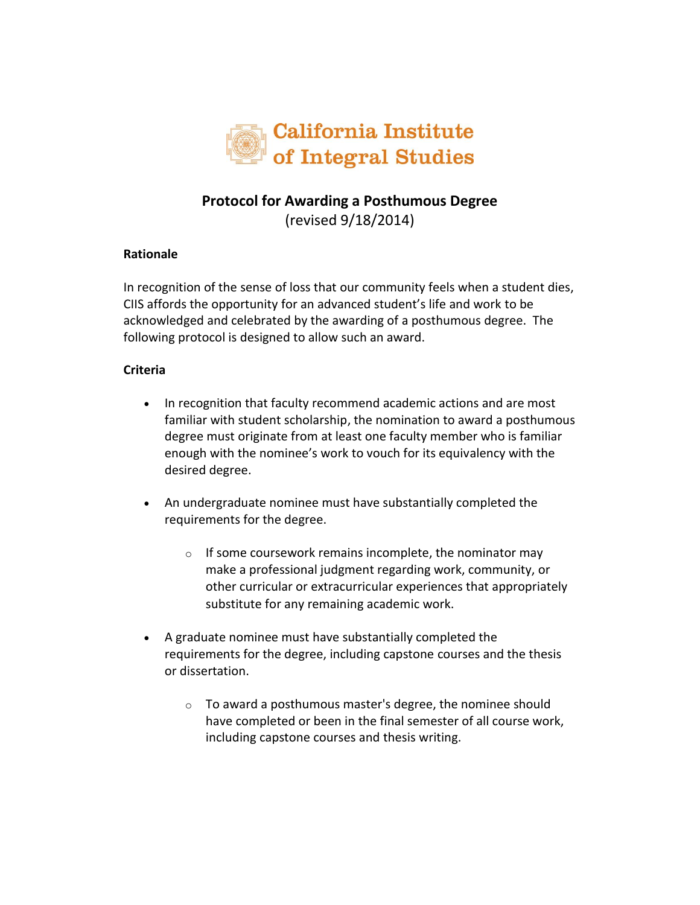

## **Protocol for Awarding a Posthumous Degree**

(revised 9/18/2014)

## **Rationale**

In recognition of the sense of loss that our community feels when a student dies, CIIS affords the opportunity for an advanced student's life and work to be acknowledged and celebrated by the awarding of a posthumous degree. The following protocol is designed to allow such an award.

## **Criteria**

- In recognition that faculty recommend academic actions and are most familiar with student scholarship, the nomination to award a posthumous degree must originate from at least one faculty member who is familiar enough with the nominee's work to vouch for its equivalency with the desired degree.
- An undergraduate nominee must have substantially completed the requirements for the degree.
	- $\circ$  If some coursework remains incomplete, the nominator may make a professional judgment regarding work, community, or other curricular or extracurricular experiences that appropriately substitute for any remaining academic work.
- A graduate nominee must have substantially completed the requirements for the degree, including capstone courses and the thesis or dissertation.
	- o To award a posthumous master's degree, the nominee should have completed or been in the final semester of all course work, including capstone courses and thesis writing.